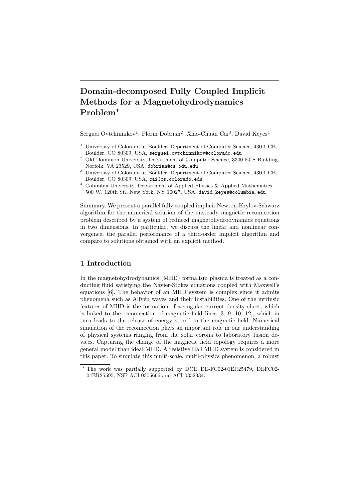# Domain-decomposed Fully Coupled Implicit Methods for a Magnetohydrodynamics Problem<sup>∗</sup>

Serguei Ovtchinnikov<sup>1</sup>, Florin Dobrian<sup>2</sup>, Xiao-Chuan Cai<sup>3</sup>, David Keyes<sup>4</sup>

- <sup>1</sup> University of Colorado at Boulder, Department of Computer Science, 430 UCB, Boulder, CO 80309, USA, serguei.ovtchinnikov@colorado.edu
- $^{\rm 2}$  Old Dominion University, Department of Computer Science, 3300 ECS Building, Norfolk, VA 23529, USA, dobrian@cs.odu.edu
- <sup>3</sup> University of Colorado at Boulder, Department of Computer Science, 430 UCB, Boulder, CO 80309, USA, cai@cs.colorado.edu
- <sup>4</sup> Columbia University, Department of Applied Physics & Applied Mathematics, 500 W. 120th St., New York, NY 10027, USA, david.keyes@columbia.edu

Summary. We present a parallel fully coupled implicit Newton-Krylov-Schwarz algorithm for the numerical solution of the unsteady magnetic reconnection problem described by a system of reduced magnetohydrodynamics equations in two dimensions. In particular, we discuss the linear and nonlinear convergence, the parallel performance of a third-order implicit algorithm and compare to solutions obtained with an explicit method.

## 1 Introduction

In the magnetohydrodynamics (MHD) formalism plasma is treated as a conducting fluid satisfying the Navier-Stokes equations coupled with Maxwell's equations [6]. The behavior of an MHD system is complex since it admits phenomena such as Alfv´en waves and their instabilities. One of the intrinsic features of MHD is the formation of a singular current density sheet, which is linked to the reconnection of magnetic field lines [3, 9, 10, 12], which in turn leads to the release of energy stored in the magnetic field. Numerical simulation of the reconnection plays an important role in our understanding of physical systems ranging from the solar corona to laboratory fusion devices. Capturing the change of the magnetic field topology requires a more general model than ideal MHD. A resistive Hall MHD system is considered in this paper. To simulate this multi-scale, multi-physics phenomenon, a robust

<sup>∗</sup> The work was partially supported by DOE DE-FC02-01ER25479, DEFC02- 04ER25595, NSF ACI-0305666 and ACI-0352334.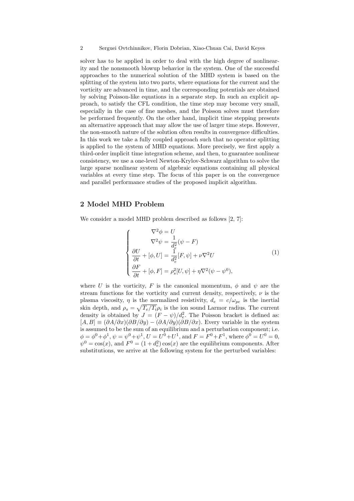solver has to be applied in order to deal with the high degree of nonlinearity and the nonsmooth blowup behavior in the system. One of the successful approaches to the numerical solution of the MHD system is based on the splitting of the system into two parts, where equations for the current and the vorticity are advanced in time, and the corresponding potentials are obtained by solving Poisson-like equations in a separate step. In such an explicit approach, to satisfy the CFL condition, the time step may become very small, especially in the case of fine meshes, and the Poisson solves must therefore be performed frequently. On the other hand, implicit time stepping presents an alternative approach that may allow the use of larger time steps. However, the non-smooth nature of the solution often results in convergence difficulties. In this work we take a fully coupled approach such that no operator splitting is applied to the system of MHD equations. More precisely, we first apply a third-order implicit time integration scheme, and then, to guarantee nonlinear consistency, we use a one-level Newton-Krylov-Schwarz algorithm to solve the large sparse nonlinear system of algebraic equations containing all physical variables at every time step. The focus of this paper is on the convergence and parallel performance studies of the proposed implicit algorithm.

## 2 Model MHD Problem

We consider a model MHD problem described as follows [2, 7]:

$$
\begin{cases}\n\nabla^2 \phi = U \\
\nabla^2 \psi = \frac{1}{d_e^2} (\psi - F) \\
\frac{\partial U}{\partial t} + [\phi, U] = \frac{1}{d_e^2} [F, \psi] + \nu \nabla^2 U \\
\frac{\partial F}{\partial t} + [\phi, F] = \rho_s^2 [U, \psi] + \eta \nabla^2 (\psi - \psi^0),\n\end{cases} (1)
$$

where U is the vorticity, F is the canonical momentum,  $\phi$  and  $\psi$  are the stream functions for the vorticity and current density, respectively,  $\nu$  is the plasma viscosity,  $\eta$  is the normalized resistivity,  $d_e = c/\omega_{pe}$  is the inertial skin depth, and  $\rho_s = \sqrt{T_e/T_i \rho_i}$  is the ion sound Larmor radius. The current density is obtained by  $J = (F - \psi)/d_e^2$ . The Poisson bracket is defined as:  $[A, B] \equiv (\partial A/\partial x)(\partial B/\partial y) - (\partial A/\partial y)(\partial B/\partial x)$ . Every variable in the system is assumed to be the sum of an equilibrium and a perturbation component; i.e.  $\phi = \phi^0 + \phi^1$ ,  $\psi = \psi^0 + \psi^1$ ,  $U = U^0 + U^1$ , and  $F = F^0 + F^1$ , where  $\phi^0 = U^0 = 0$ ,  $\psi^0 = \cos(x)$ , and  $F^0 = (1 + d_e^2) \cos(x)$  are the equilibrium components. After substitutions, we arrive at the following system for the perturbed variables: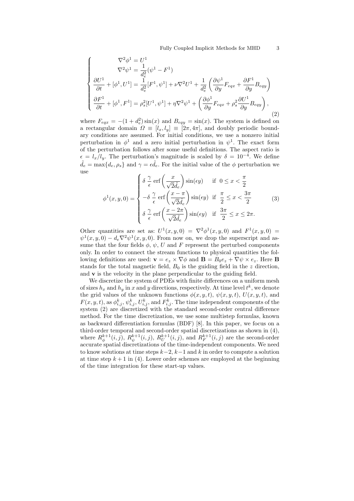$$
\begin{cases}\n\nabla^2 \phi^1 = U^1 \\
\nabla^2 \psi^1 = \frac{1}{d_e^2} (\psi^1 - F^1) \\
\frac{\partial U^1}{\partial t} + [\phi^1, U^1] = \frac{1}{d_e^2} [F^1, \psi^1] + \nu \nabla^2 U^1 + \frac{1}{d_e^2} \left( \frac{\partial \psi^1}{\partial y} F_{eqx} + \frac{\partial F^1}{\partial y} B_{eqy} \right) \\
\frac{\partial F^1}{\partial t} + [\phi^1, F^1] = \rho_s^2 [U^1, \psi^1] + \eta \nabla^2 \psi^1 + \left( \frac{\partial \phi^1}{\partial y} F_{eqx} + \rho_s^2 \frac{\partial U^1}{\partial y} B_{eqy} \right),\n\end{cases} (2)
$$

where  $F_{eqx} = -(1 + d_e^2) \sin(x)$  and  $B_{eqy} = \sin(x)$ . The system is defined on a rectangular domain  $\Omega \equiv [l_x, l_y] \equiv [2\pi, 4\pi]$ , and doubly periodic boundary conditions are assumed. For initial conditions, we use a nonzero initial perturbation in  $\phi^1$  and a zero initial perturbation in  $\psi^1$ . The exact form of the perturbation follows after some useful definitions. The aspect ratio is  $\epsilon = l_x/l_y$ . The perturbation's magnitude is scaled by  $\delta = 10^{-4}$ . We define  $\tilde{d}_e = \max\{d_e, \rho_s\}$  and  $\gamma = \epsilon \tilde{d}_e$ . For the initial value of the  $\phi$  perturbation we use  $\overline{a}$  $\mathbf{r}$ 

$$
\phi^{1}(x, y, 0) = \begin{cases} \delta \frac{\gamma}{\epsilon} \operatorname{erf}\left(\frac{x}{\sqrt{2}\tilde{d}_{\epsilon}}\right) \sin(\epsilon y) & \text{if } 0 \leq x < \frac{\pi}{2} \\ -\delta \frac{\gamma}{\epsilon} \operatorname{erf}\left(\frac{x - \pi}{\sqrt{2}\tilde{d}_{\epsilon}}\right) \sin(\epsilon y) & \text{if } \frac{\pi}{2} \leq x < \frac{3\pi}{2} \\ \delta \frac{\gamma}{\epsilon} \operatorname{erf}\left(\frac{x - 2\pi}{\sqrt{2}\tilde{d}_{\epsilon}}\right) \sin(\epsilon y) & \text{if } \frac{3\pi}{2} \leq x \leq 2\pi. \end{cases} \tag{3}
$$

Other quantities are set as:  $U^1(x, y, 0) = \nabla^2 \phi^1(x, y, 0)$  and  $F^1(x, y, 0) =$  $\psi^1(x,y,0) - d_e \nabla^2 \psi^1(x,y,0)$ . From now on, we drop the superscript and assume that the four fields  $\phi$ ,  $\psi$ , U and F represent the perturbed components only. In order to connect the stream functions to physical quantities the following definitions are used:  $\mathbf{v} = e_z \times \nabla \phi$  and  $\mathbf{B} = B_0 e_z + \nabla \psi \times e_z$ . Here **B** stands for the total magnetic field,  $B_0$  is the guiding field in the z direction, and  $\bf{v}$  is the velocity in the plane perpendicular to the guiding field.

We discretize the system of PDEs with finite differences on a uniform mesh of sizes  $h_x$  and  $h_y$  in x and y directions, respectively. At time level  $t^k$ , we denote the grid values of the unknown functions  $\phi(x, y, t)$ ,  $\psi(x, y, t)$ ,  $U(x, y, t)$ , and  $F(x, y, t)$ , as  $\phi_{i,j}^k$ ,  $\psi_{i,j}^k$ ,  $U_{i,j}^k$ , and  $F_{i,j}^k$ . The time independent components of the system (2) are discretized with the standard second-order central difference method. For the time discretization, we use some multistep formulas, known as backward differentiation formulas (BDF) [8]. In this paper, we focus on a third-order temporal and second-order spatial discretizations as shown in (4), where  $R_{\phi}^{k+1}(i, j)$ ,  $R_{\psi}^{k+1}(i, j)$ ,  $R_{U}^{k+1}(i, j)$ , and  $R_{F}^{k+1}(i, j)$  are the second-order accurate spatial discretizations of the time-independent components. We need to know solutions at time steps  $k-2$ ,  $k-1$  and k in order to compute a solution at time step  $k+1$  in (4). Lower order schemes are employed at the beginning of the time integration for these start-up values.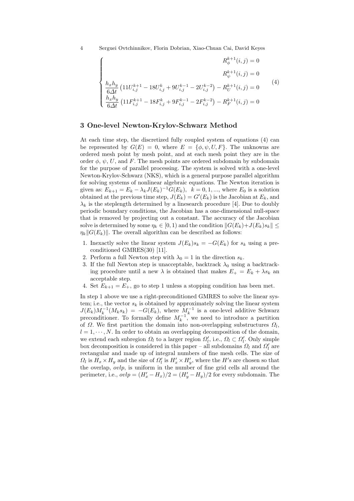4 Serguei Ovtchinnikov, Florin Dobrian, Xiao-Chuan Cai, David Keyes

$$
\begin{cases}\nR_{\phi}^{k+1}(i,j) = 0 \\
R_{\psi}^{k+1}(i,j) = 0 \\
\frac{h_x h_y}{6\Delta t} \left(11U_{i,j}^{k+1} - 18U_{i,j}^k + 9U_{i,j}^{k-1} - 2U_{i,j}^{k-2}\right) - R_U^{k+1}(i,j) = 0 \\
\frac{h_x h_y}{6\Delta t} \left(11F_{i,j}^{k+1} - 18F_{i,j}^k + 9F_{i,j}^{k-1} - 2F_{i,j}^{k-2}\right) - R_F^{k+1}(i,j) = 0\n\end{cases}
$$
\n(4)

#### 3 One-level Newton-Krylov-Schwarz Method

At each time step, the discretized fully coupled system of equations (4) can be represented by  $G(E) = 0$ , where  $E = {\phi, \psi, U, F}$ . The unknowns are ordered mesh point by mesh point, and at each mesh point they are in the order  $\phi$ ,  $\psi$ , U, and F. The mesh points are ordered subdomain by subdomain for the purpose of parallel processing. The system is solved with a one-level Newton-Krylov-Schwarz (NKS), which is a general purpose parallel algorithm for solving systems of nonlinear algebraic equations. The Newton iteration is given as:  $E_{k+1} = E_k - \lambda_k J(E_k)^{-1} G(E_k)$ ,  $k = 0, 1, ...,$  where  $E_0$  is a solution obtained at the previous time step,  $J(E_k) = G'(E_k)$  is the Jacobian at  $E_k$ , and  $\lambda_k$  is the steplength determined by a linesearch procedure [4]. Due to doubly periodic boundary conditions, the Jacobian has a one-dimensional null-space that is removed by projecting out a constant. The accuracy of the Jacobian solve is determined by some  $n_k \in [0, 1)$  and the condition  $||G(E_k)+J(E_k)s_k|| \leq$  $\eta_k||G(E_k)||$ . The overall algorithm can be described as follows:

- 1. Inexactly solve the linear system  $J(E_k)s_k = -G(E_k)$  for  $s_k$  using a preconditioned GMRES(30) [11].
- 2. Perform a full Newton step with  $\lambda_0 = 1$  in the direction  $s_k$ .
- 3. If the full Newton step is unacceptable, backtrack  $\lambda_0$  using a backtracking procedure until a new  $\lambda$  is obtained that makes  $E_+ = E_k + \lambda s_k$  and acceptable step.
- 4. Set  $E_{k+1} = E_+$ , go to step 1 unless a stopping condition has been met.

In step 1 above we use a right-preconditioned GMRES to solve the linear system; i.e., the vector  $s_k$  is obtained by approximately solving the linear system  $J(E_k)M_k^{-1}(M_ks_k) = -G(E_k)$ , where  $M_k^{-1}$  is a one-level additive Schwarz preconditioner. To formally define  $M_k^{-1}$ , we need to introduce a partition of  $\Omega$ . We first partition the domain into non-overlapping substructures  $\Omega_l$ ,  $l = 1, \dots, N$ . In order to obtain an overlapping decomposition of the domain, we extend each subregion  $\Omega_l$  to a larger region  $\Omega_l'$ , i.e.,  $\Omega_l \subset \Omega_l'$ . Only simple box decomposition is considered in this paper – all subdomains  $\Omega_l$  and  $\Omega'_l$  are rectangular and made up of integral numbers of fine mesh cells. The size of  $\Omega_l$  is  $H_x \times H_y$  and the size of  $\Omega_l'$  is  $H'_x \times H'_y$ , where the H's are chosen so that the overlap, ovlp, is uniform in the number of fine grid cells all around the perimeter, i.e.,  $\omega l p = (H'_x - H_x)/2 = (H'_y - H_y)/2$  for every subdomain. The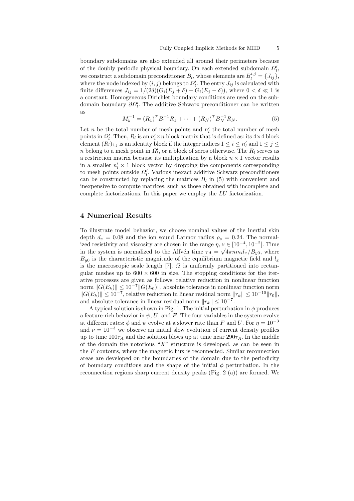boundary subdomains are also extended all around their perimeters because of the doubly periodic physical boundary. On each extended subdomain  $\Omega'_l$ , we construct a subdomain preconditioner  $B_l$ , whose elements are  $B_l^{i,j} = \{J_{ij}\},$ where the node indexed by  $(i, j)$  belongs to  $\Omega'_{l}$ . The entry  $J_{ij}$  is calculated with finite differences  $J_{ij} = 1/(2\delta)(G_i(E_j + \delta) - G_i(E_j - \delta))$ , where  $0 < \delta \ll 1$  is a constant. Homogeneous Dirichlet boundary conditions are used on the subdomain boundary  $\partial \Omega'_l$ . The additive Schwarz preconditioner can be written as

$$
M_k^{-1} = (R_1)^T B_1^{-1} R_1 + \dots + (R_N)^T B_N^{-1} R_N.
$$
 (5)

Let n be the total number of mesh points and  $n'_l$  the total number of mesh points in  $\Omega'_l$ . Then,  $R_l$  is an  $n'_l \times n$  block matrix that is defined as: its 4×4 block element  $(R_l)_{i,j}$  is an identity block if the integer indices  $1 \leq i \leq n'_l$  and  $1 \leq j \leq$ n belong to a mesh point in  $\Omega'_l$ , or a block of zeros otherwise. The  $R_l$  serves as a restriction matrix because its multiplication by a block  $n \times 1$  vector results in a smaller  $n'_l \times 1$  block vector by dropping the components corresponding to mesh points outside  $\Omega'_l$ . Various inexact additive Schwarz preconditioners can be constructed by replacing the matrices  $B_l$  in (5) with convenient and inexpensive to compute matrices, such as those obtained with incomplete and complete factorizations. In this paper we employ the LU factorization.

#### 4 Numerical Results

To illustrate model behavior, we choose nominal values of the inertial skin depth  $d_e = 0.08$  and the ion sound Larmor radius  $\rho_s = 0.24$ . The normalized resistivity and viscosity are chosen in the range  $\eta, \nu \in [10^{-4}, 10^{-2}]$ . Time in the system is normalized to the Alfvén time  $\tau_A = \sqrt{4\pi nm_i} l_x/B_{y0}$ , where  $B_{u0}$  is the characteristic magnitude of the equilibrium magnetic field and  $l_x$ is the macroscopic scale length [7].  $\Omega$  is uniformly partitioned into rectangular meshes up to  $600 \times 600$  in size. The stopping conditions for the iterative processes are given as follows: relative reduction in nonlinear function norm  $||G(E_k)|| \le 10^{-7}||G(E_0)||$ , absolute tolerance in nonlinear function norm  $||G(E_k)|| \leq 10^{-7}$ , relative reduction in linear residual norm  $||r_k|| \leq 10^{-10}||r_0||$ , and absolute tolerance in linear residual norm  $||r_k|| \leq 10^{-7}$ .

A typical solution is shown in Fig. 1. The initial perturbation in  $\phi$  produces a feature-rich behavior in  $\psi$ , U, and F. The four variables in the system evolve at different rates:  $\phi$  and  $\psi$  evolve at a slower rate than F and U. For  $\eta = 10^{-3}$ and  $\nu = 10^{-3}$  we observe an initial slow evolution of current density profiles up to time  $100\tau_A$  and the solution blows up at time near  $290\tau_A$ . In the middle of the domain the notorious " $X$ " structure is developed, as can be seen in the  $F$  contours, where the magnetic flux is reconnected. Similar reconnection areas are developed on the boundaries of the domain due to the periodicity of boundary conditions and the shape of the initial  $\phi$  perturbation. In the reconnection regions sharp current density peaks (Fig. 2 (a)) are formed. We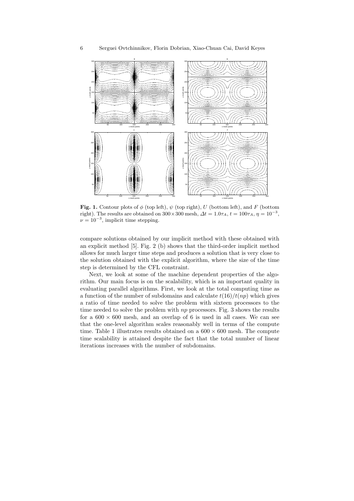

Fig. 1. Contour plots of  $\phi$  (top left),  $\psi$  (top right), U (bottom left), and F (bottom right). The results are obtained on  $300 \times 300$  mesh,  $\Delta t = 1.0\tau_A$ ,  $t = 100\tau_A$ ,  $\eta = 10^{-3}$ ,  $\nu = 10^{-3}$ , implicit time stepping.

compare solutions obtained by our implicit method with these obtained with an explicit method [5]. Fig. 2 (b) shows that the third-order implicit method allows for much larger time steps and produces a solution that is very close to the solution obtained with the explicit algorithm, where the size of the time step is determined by the CFL constraint.

Next, we look at some of the machine dependent properties of the algorithm. Our main focus is on the scalability, which is an important quality in evaluating parallel algorithms. First, we look at the total computing time as a function of the number of subdomains and calculate  $t(16)/t(np)$  which gives a ratio of time needed to solve the problem with sixteen processors to the time needed to solve the problem with  $np$  processors. Fig. 3 shows the results for a  $600 \times 600$  mesh, and an overlap of 6 is used in all cases. We can see that the one-level algorithm scales reasonably well in terms of the compute time. Table 1 illustrates results obtained on a  $600 \times 600$  mesh. The compute time scalability is attained despite the fact that the total number of linear iterations increases with the number of subdomains.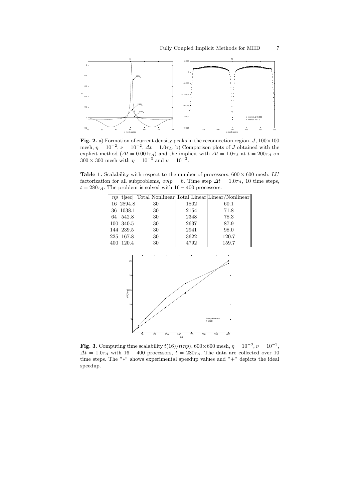

Fig. 2. a) Formation of current density peaks in the reconnection region,  $J$ ,  $100 \times 100$ mesh,  $\eta = 10^{-2}$ ,  $\nu = 10^{-2}$ ,  $\Delta t = 1.0\tau_A$ . b) Comparison plots of J obtained with the explicit method ( $\Delta t = 0.001\tau_A$ ) and the implicit with  $\Delta t = 1.0\tau_A$  at  $t = 200\tau_A$  on  $300 \times 300$  mesh with  $\eta = 10^{-3}$  and  $\nu = 10^{-3}$ .

Table 1. Scalability with respect to the number of processors,  $600 \times 600$  mesh. LU factorization for all subproblems,  $ovlp = 6$ . Time step  $\Delta t = 1.0\tau_A$ , 10 time steps,  $t = 280\tau_A$ . The problem is solved with  $16 - 400$  processors.



**Fig. 3.** Computing time scalability  $t(16)/t(np)$ , 600×600 mesh,  $\eta = 10^{-3}$ ,  $\nu = 10^{-3}$ ,  $\Delta t = 1.0\tau_A$  with 16 – 400 processors,  $t = 280\tau_A$ . The data are collected over 10 time steps. The "∗" shows experimental speedup values and "+" depicts the ideal speedup.